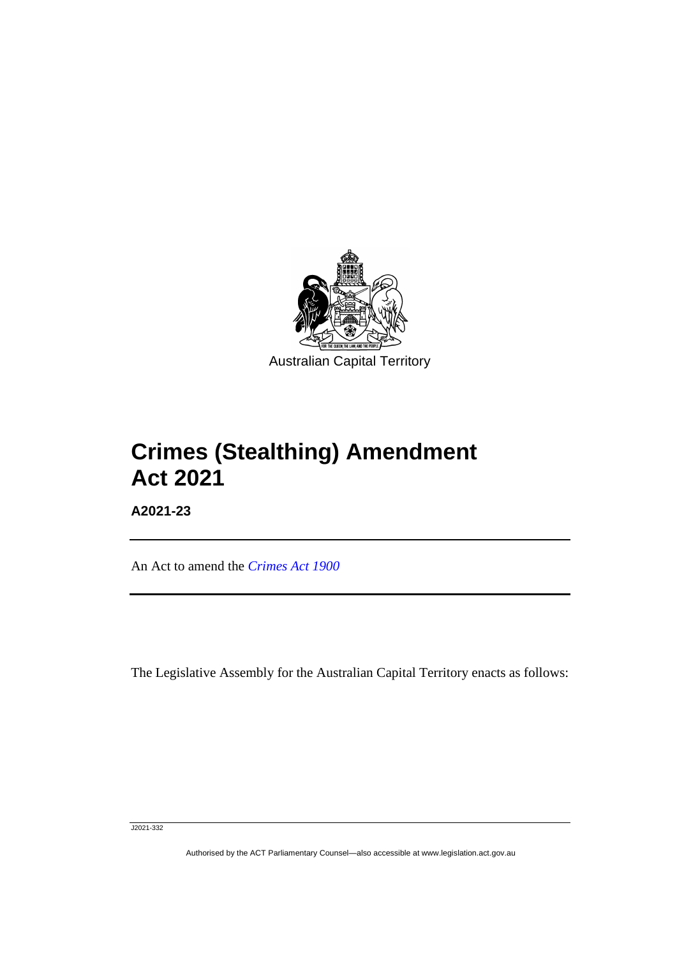

## **Crimes (Stealthing) Amendment Act 2021**

**A2021-23**

ֺֺ

An Act to amend the *[Crimes Act 1900](http://www.legislation.act.gov.au/a/1900-40)*

The Legislative Assembly for the Australian Capital Territory enacts as follows:

J2021-332

Authorised by the ACT Parliamentary Counsel—also accessible at www.legislation.act.gov.au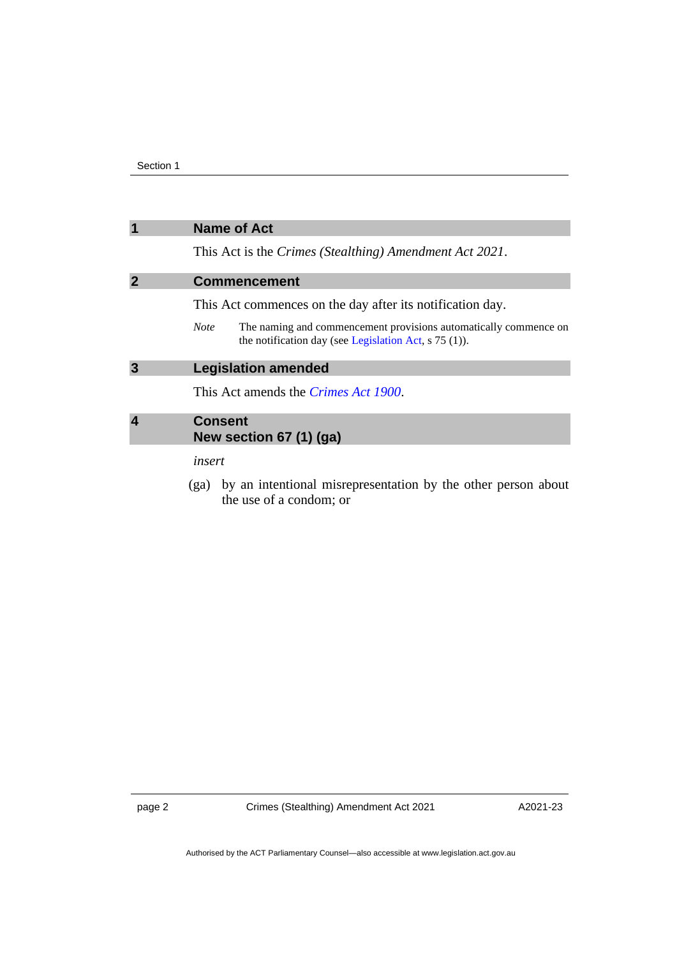| $\overline{\mathbf{1}}$ | <b>Name of Act</b>                                                                                                                         |
|-------------------------|--------------------------------------------------------------------------------------------------------------------------------------------|
|                         | This Act is the <i>Crimes</i> ( <i>Stealthing</i> ) Amendment Act 2021.                                                                    |
| $\overline{2}$          | <b>Commencement</b>                                                                                                                        |
|                         | This Act commences on the day after its notification day.                                                                                  |
|                         | The naming and commencement provisions automatically commence on<br><b>Note</b><br>the notification day (see Legislation Act, $s$ 75 (1)). |
| $\overline{\mathbf{3}}$ | <b>Legislation amended</b>                                                                                                                 |
|                         | This Act amends the <i>Crimes Act 1900</i> .                                                                                               |
| $\overline{4}$          | <b>Consent</b><br>New section 67 (1) (ga)                                                                                                  |
|                         | insert                                                                                                                                     |
|                         |                                                                                                                                            |

(ga) by an intentional misrepresentation by the other person about the use of a condom; or

page 2 Crimes (Stealthing) Amendment Act 2021

A2021-23